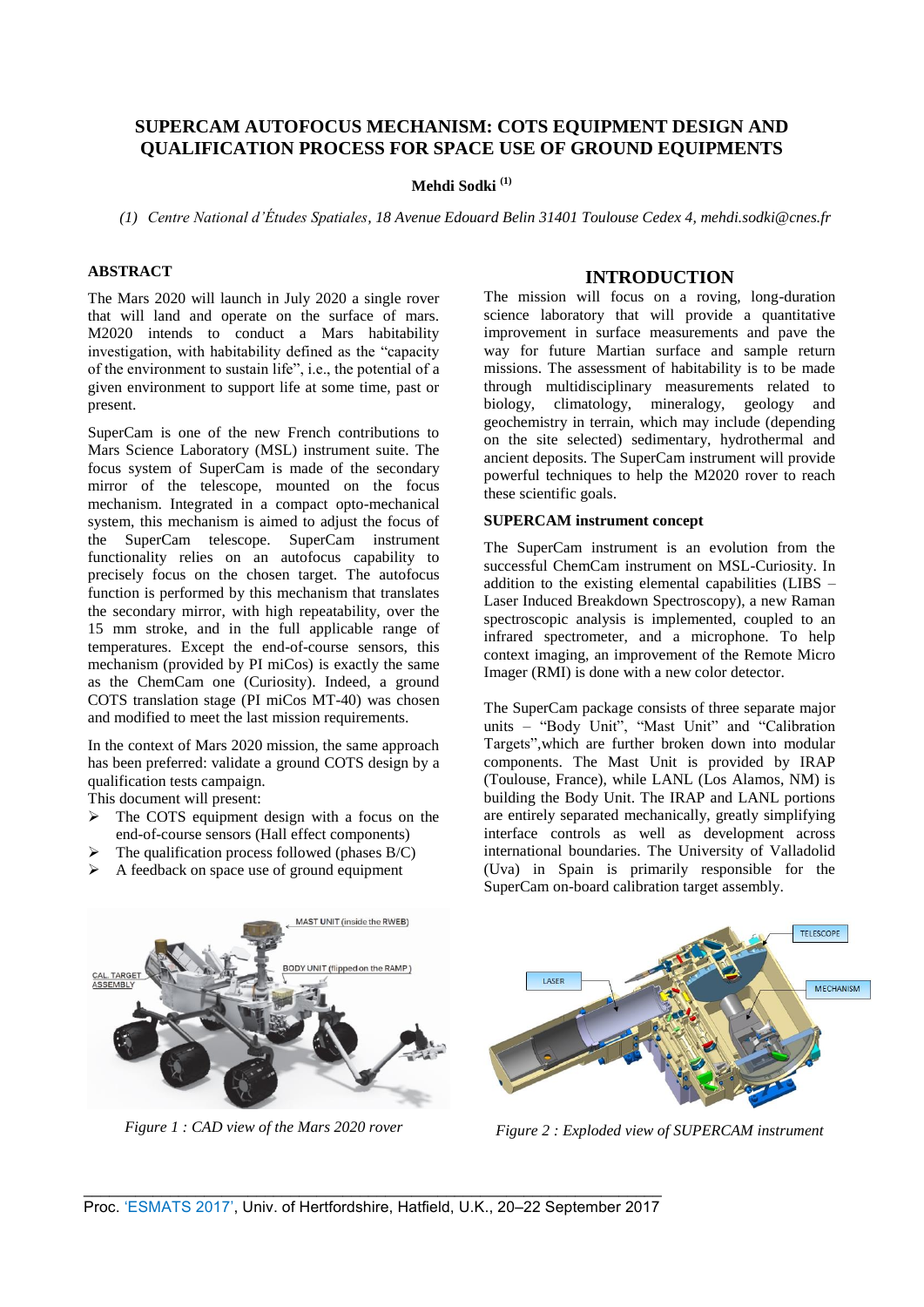# **SUPERCAM AUTOFOCUS MECHANISM: COTS EQUIPMENT DESIGN AND QUALIFICATION PROCESS FOR SPACE USE OF GROUND EQUIPMENTS**

# **Mehdi Sodki (1)**

*(1) Centre National d'Études Spatiales, 18 Avenue Edouard Belin 31401 Toulouse Cedex 4, mehdi.sodki@cnes.fr* 

# **ABSTRACT**

The Mars 2020 will launch in July 2020 a single rover that will land and operate on the surface of mars. M2020 intends to conduct a Mars habitability investigation, with habitability defined as the "capacity of the environment to sustain life", i.e., the potential of a given environment to support life at some time, past or present.

SuperCam is one of the new French contributions to Mars Science Laboratory (MSL) instrument suite. The focus system of SuperCam is made of the secondary mirror of the telescope, mounted on the focus mechanism. Integrated in a compact opto-mechanical system, this mechanism is aimed to adjust the focus of the SuperCam telescope. SuperCam instrument functionality relies on an autofocus capability to precisely focus on the chosen target. The autofocus function is performed by this mechanism that translates the secondary mirror, with high repeatability, over the 15 mm stroke, and in the full applicable range of temperatures. Except the end-of-course sensors, this mechanism (provided by PI miCos) is exactly the same as the ChemCam one (Curiosity). Indeed, a ground COTS translation stage (PI miCos MT-40) was chosen and modified to meet the last mission requirements.

In the context of Mars 2020 mission, the same approach has been preferred: validate a ground COTS design by a qualification tests campaign.

This document will present:

- $\triangleright$  The COTS equipment design with a focus on the end-of-course sensors (Hall effect components)
- $\triangleright$  The qualification process followed (phases B/C)
- $\triangleright$  A feedback on space use of ground equipment

### **INTRODUCTION**

The mission will focus on a roving, long-duration science laboratory that will provide a quantitative improvement in surface measurements and pave the way for future Martian surface and sample return missions. The assessment of habitability is to be made through multidisciplinary measurements related to biology, climatology, mineralogy, geology and geochemistry in terrain, which may include (depending on the site selected) sedimentary, hydrothermal and ancient deposits. The SuperCam instrument will provide powerful techniques to help the M2020 rover to reach these scientific goals.

# **SUPERCAM instrument concept**

The SuperCam instrument is an evolution from the successful ChemCam instrument on MSL-Curiosity. In addition to the existing elemental capabilities (LIBS – Laser Induced Breakdown Spectroscopy), a new Raman spectroscopic analysis is implemented, coupled to an infrared spectrometer, and a microphone. To help context imaging, an improvement of the Remote Micro Imager (RMI) is done with a new color detector.

The SuperCam package consists of three separate major units – "Body Unit", "Mast Unit" and "Calibration Targets",which are further broken down into modular components. The Mast Unit is provided by IRAP (Toulouse, France), while LANL (Los Alamos, NM) is building the Body Unit. The IRAP and LANL portions are entirely separated mechanically, greatly simplifying interface controls as well as development across international boundaries. The University of Valladolid (Uva) in Spain is primarily responsible for the SuperCam on-board calibration target assembly.



*Figure 1 : CAD view of the Mars 2020 rover* 



*Figure 2 : Exploded view of SUPERCAM instrument*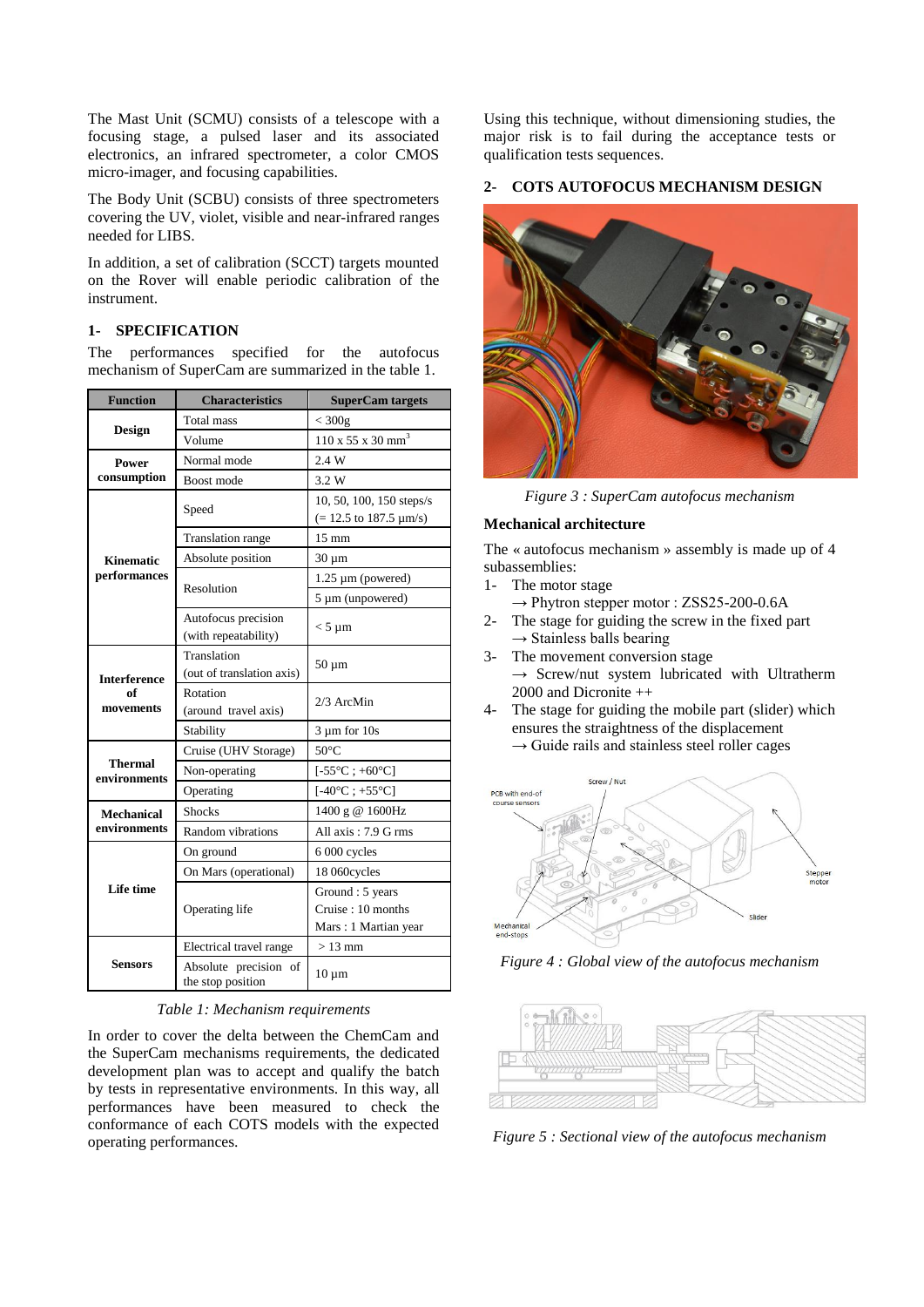The Mast Unit (SCMU) consists of a telescope with a focusing stage, a pulsed laser and its associated electronics, an infrared spectrometer, a color CMOS micro-imager, and focusing capabilities.

The Body Unit (SCBU) consists of three spectrometers covering the UV, violet, visible and near-infrared ranges needed for LIBS.

In addition, a set of calibration (SCCT) targets mounted on the Rover will enable periodic calibration of the instrument.

### **1- SPECIFICATION**

The performances specified for the autofocus mechanism of SuperCam are summarized in the table 1.

| <b>Function</b>                        | <b>Characteristics</b>                      | <b>SuperCam targets</b>                                               |  |
|----------------------------------------|---------------------------------------------|-----------------------------------------------------------------------|--|
|                                        | <b>Total mass</b>                           | $<$ 300g                                                              |  |
| <b>Design</b>                          | Volume                                      | $110 \times 55 \times 30 \text{ mm}^3$                                |  |
| Power                                  | Normal mode                                 | 2.4 W                                                                 |  |
| consumption                            | Boost mode                                  | 3.2 W                                                                 |  |
|                                        | Speed                                       | 10, 50, 100, 150 steps/s<br>$(= 12.5 \text{ to } 187.5 \text{ µm/s})$ |  |
|                                        | Translation range                           | $15 \text{ mm}$                                                       |  |
| <b>Kinematic</b>                       | Absolute position                           | $30 \mu m$                                                            |  |
| performances                           | Resolution                                  | $1.25 \mu m$ (powered)                                                |  |
|                                        |                                             | 5 µm (unpowered)                                                      |  |
|                                        | Autofocus precision<br>(with repeatability) | $<$ 5 µm                                                              |  |
| <b>Interference</b><br>of<br>movements | Translation<br>(out of translation axis)    | $50 \mu m$                                                            |  |
|                                        | Rotation<br>(around travel axis)            | 2/3 ArcMin                                                            |  |
|                                        | Stability                                   | $3 \mu m$ for $10s$                                                   |  |
|                                        | Cruise (UHV Storage)                        | $50^{\circ}$ C                                                        |  |
| <b>Thermal</b><br>environments         | Non-operating                               | $[-55^{\circ}\text{C}$ ; +60°C]                                       |  |
|                                        | Operating                                   | $[-40^{\circ}\text{C} ; +55^{\circ}\text{C}]$                         |  |
| <b>Mechanical</b>                      | <b>Shocks</b>                               | 1400 g @ 1600Hz                                                       |  |
| environments                           | Random vibrations                           | All axis: 7.9 G rms                                                   |  |
| <b>Life time</b>                       | On ground                                   | 6 000 cycles                                                          |  |
|                                        | On Mars (operational)                       | 18 060cycles                                                          |  |
|                                        | Operating life                              | Ground: 5 years<br>Cruise: 10 months<br>Mars: 1 Martian year          |  |
|                                        | Electrical travel range                     | $>13$ mm                                                              |  |
| <b>Sensors</b>                         | Absolute precision of<br>the stop position  | $10 \mu m$                                                            |  |

### *Table 1: Mechanism requirements*

In order to cover the delta between the ChemCam and the SuperCam mechanisms requirements, the dedicated development plan was to accept and qualify the batch by tests in representative environments. In this way, all performances have been measured to check the conformance of each COTS models with the expected operating performances.

Using this technique, without dimensioning studies, the major risk is to fail during the acceptance tests or qualification tests sequences.

### **2- COTS AUTOFOCUS MECHANISM DESIGN**



*Figure 3 : SuperCam autofocus mechanism*

#### **Mechanical architecture**

The « autofocus mechanism » assembly is made up of 4 subassemblies:<br>1- The motor

- The motor stage
- → Phytron stepper motor : ZSS25-200-0.6A
- 2- The stage for guiding the screw in the fixed part  $\rightarrow$  Stainless balls bearing
- 3- The movement conversion stage  $\rightarrow$  Screw/nut system lubricated with Ultratherm 2000 and Dicronite ++
- 4- The stage for guiding the mobile part (slider) which ensures the straightness of the displacement  $\rightarrow$  Guide rails and stainless steel roller cages



*Figure 4 : Global view of the autofocus mechanism*



*Figure 5 : Sectional view of the autofocus mechanism*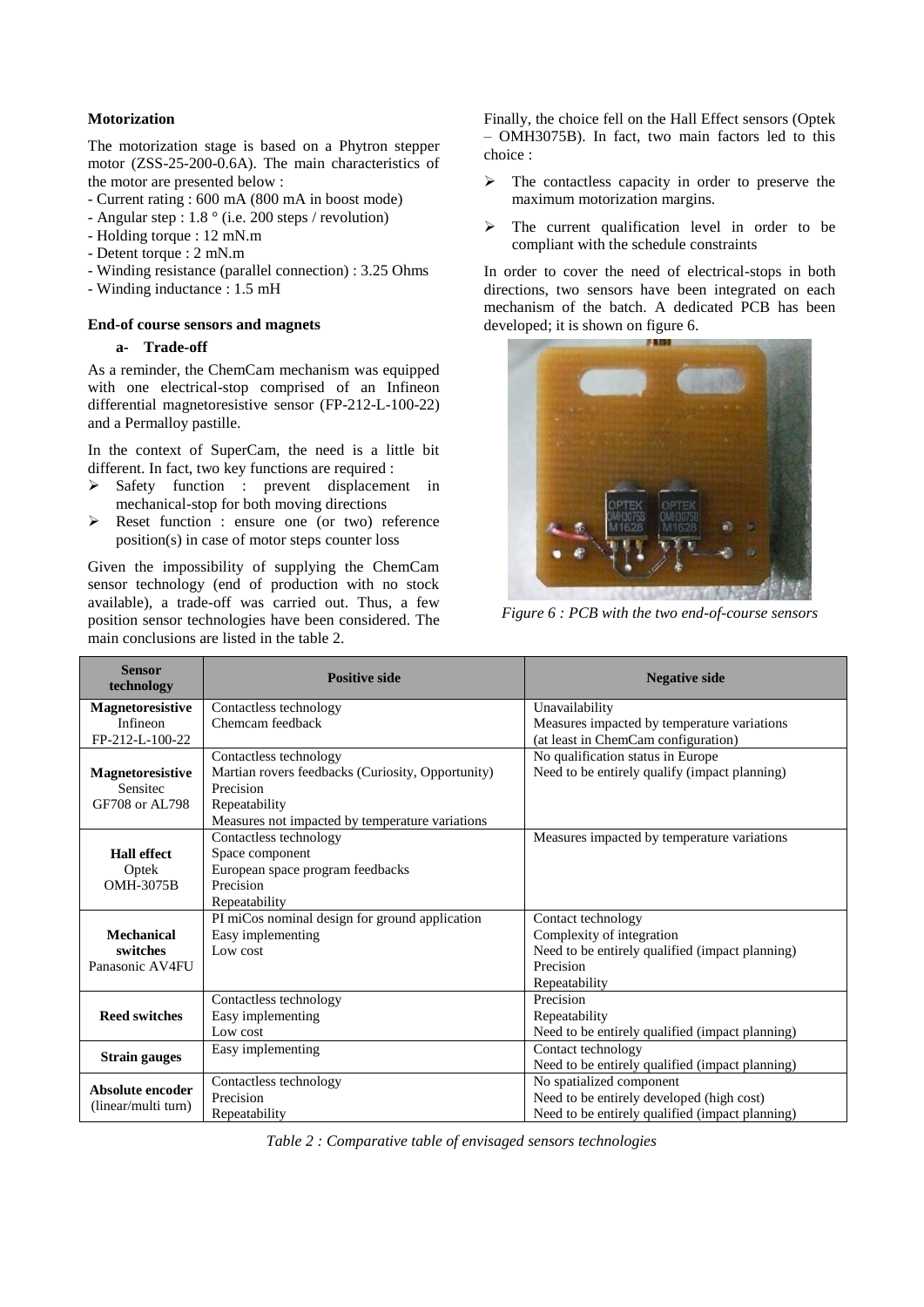# **Motorization**

The motorization stage is based on a Phytron stepper motor (ZSS-25-200-0.6A). The main characteristics of the motor are presented below :

- Current rating : 600 mA (800 mA in boost mode)
- Angular step : 1.8 ° (i.e. 200 steps / revolution)
- Holding torque : 12 mN.m
- Detent torque : 2 mN.m
- Winding resistance (parallel connection) : 3.25 Ohms
- Winding inductance : 1.5 mH

#### **End-of course sensors and magnets**

## **a- Trade-off**

As a reminder, the ChemCam mechanism was equipped with one electrical-stop comprised of an Infineon differential magnetoresistive sensor (FP-212-L-100-22) and a Permalloy pastille.

In the context of SuperCam, the need is a little bit different. In fact, two key functions are required :

- $\triangleright$  Safety function : prevent displacement in mechanical-stop for both moving directions
- Reset function : ensure one (or two) reference position(s) in case of motor steps counter loss

Given the impossibility of supplying the ChemCam sensor technology (end of production with no stock available), a trade-off was carried out. Thus, a few position sensor technologies have been considered. The main conclusions are listed in the table 2.

Finally, the choice fell on the Hall Effect sensors (Optek – OMH3075B). In fact, two main factors led to this choice :

- $\triangleright$  The contactless capacity in order to preserve the maximum motorization margins.
- $\triangleright$  The current qualification level in order to be compliant with the schedule constraints

In order to cover the need of electrical-stops in both directions, two sensors have been integrated on each mechanism of the batch. A dedicated PCB has been developed; it is shown on figure 6.



*Figure 6 : PCB with the two end-of-course sensors* 

| <b>Sensor</b><br>technology | <b>Positive side</b>                              | <b>Negative side</b>                            |  |  |
|-----------------------------|---------------------------------------------------|-------------------------------------------------|--|--|
| <b>Magnetoresistive</b>     | Contactless technology                            | Unavailability                                  |  |  |
| Infineon                    | Chemcam feedback                                  | Measures impacted by temperature variations     |  |  |
| FP-212-L-100-22             |                                                   | (at least in ChemCam configuration)             |  |  |
|                             | Contactless technology                            | No qualification status in Europe               |  |  |
| <b>Magnetoresistive</b>     | Martian rovers feedbacks (Curiosity, Opportunity) | Need to be entirely qualify (impact planning)   |  |  |
| Sensitec                    | Precision                                         |                                                 |  |  |
| GF708 or AL798              | Repeatability                                     |                                                 |  |  |
|                             | Measures not impacted by temperature variations   |                                                 |  |  |
|                             | Contactless technology                            | Measures impacted by temperature variations     |  |  |
| <b>Hall effect</b>          | Space component                                   |                                                 |  |  |
| Optek                       | European space program feedbacks                  |                                                 |  |  |
| OMH-3075B                   | Precision                                         |                                                 |  |  |
|                             | Repeatability                                     |                                                 |  |  |
|                             | PI miCos nominal design for ground application    | Contact technology                              |  |  |
| <b>Mechanical</b>           | Easy implementing                                 | Complexity of integration                       |  |  |
| switches                    | Low cost                                          | Need to be entirely qualified (impact planning) |  |  |
| Panasonic AV4FU             |                                                   | Precision                                       |  |  |
|                             |                                                   | Repeatability                                   |  |  |
|                             | Contactless technology                            | Precision                                       |  |  |
| <b>Reed switches</b>        | Easy implementing                                 | Repeatability                                   |  |  |
|                             | Low cost                                          | Need to be entirely qualified (impact planning) |  |  |
|                             | Easy implementing                                 | Contact technology                              |  |  |
| <b>Strain gauges</b>        |                                                   | Need to be entirely qualified (impact planning) |  |  |
| Absolute encoder            | Contactless technology                            | No spatialized component                        |  |  |
| (linear/multi turn)         | Precision                                         | Need to be entirely developed (high cost)       |  |  |
|                             | Repeatability                                     | Need to be entirely qualified (impact planning) |  |  |

*Table 2 : Comparative table of envisaged sensors technologies*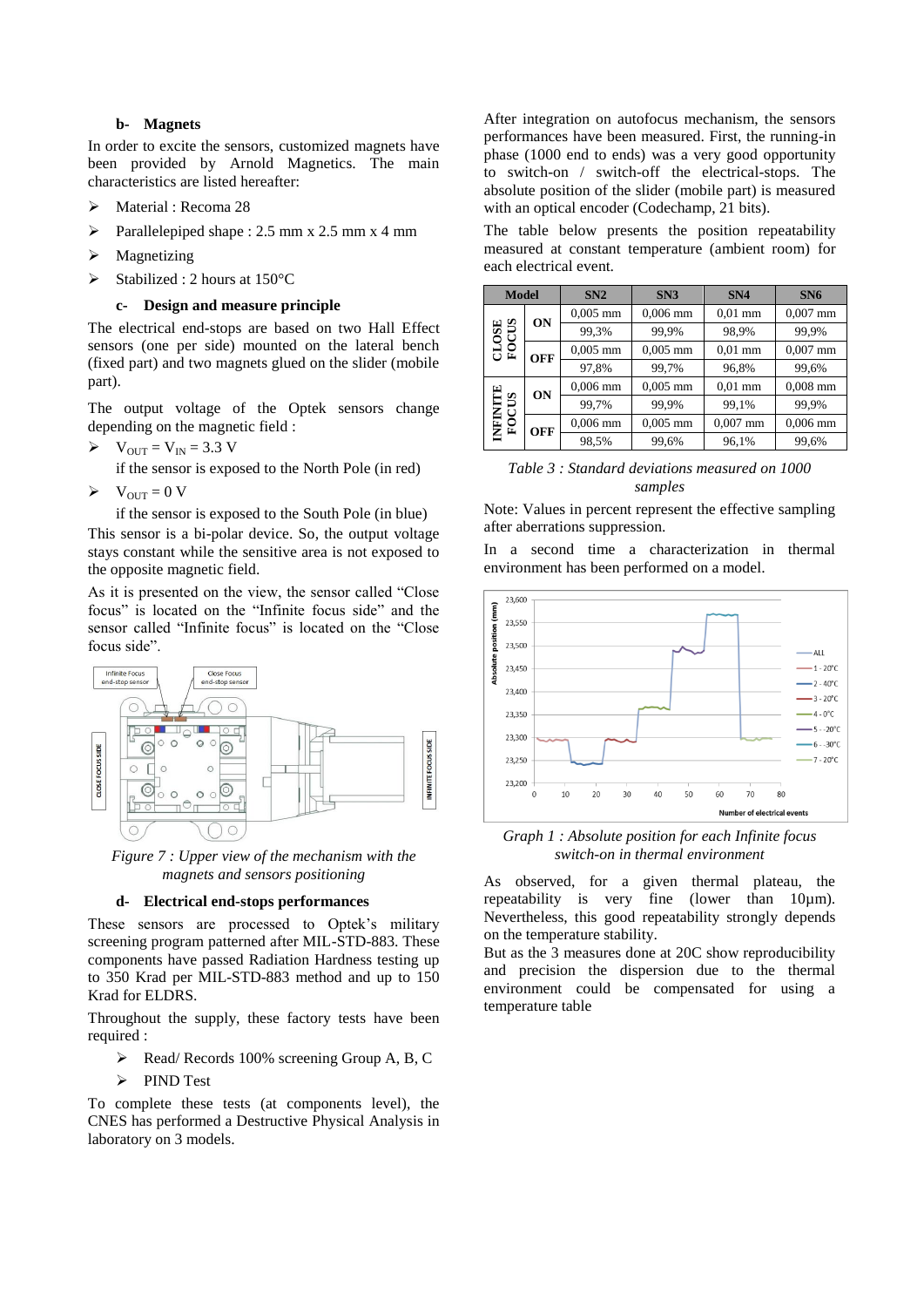### **b- Magnets**

In order to excite the sensors, customized magnets have been provided by Arnold Magnetics. The main characteristics are listed hereafter:

- > Material : Recoma 28
- $\triangleright$  Parallelepiped shape : 2.5 mm x 2.5 mm x 4 mm
- $\triangleright$  Magnetizing
- $\triangleright$  Stabilized : 2 hours at 150°C

#### **c- Design and measure principle**

The electrical end-stops are based on two Hall Effect sensors (one per side) mounted on the lateral bench (fixed part) and two magnets glued on the slider (mobile part).

The output voltage of the Optek sensors change depending on the magnetic field :

 $\triangleright$   $V_{OUT} = V_{IN} = 3.3 V$ 

if the sensor is exposed to the North Pole (in red)

 $\triangleright \quad V_{\text{OUT}} = 0 \text{ V}$ 

if the sensor is exposed to the South Pole (in blue)

This sensor is a bi-polar device. So, the output voltage stays constant while the sensitive area is not exposed to the opposite magnetic field.

As it is presented on the view, the sensor called "Close focus" is located on the "Infinite focus side" and the sensor called "Infinite focus" is located on the "Close focus side".



*Figure 7 : Upper view of the mechanism with the magnets and sensors positioning*

#### **d- Electrical end-stops performances**

These sensors are processed to Optek's military screening program patterned after MIL-STD-883. These components have passed Radiation Hardness testing up to 350 Krad per MIL-STD-883 method and up to 150 Krad for ELDRS.

Throughout the supply, these factory tests have been required :

- $\triangleright$  Read/ Records 100% screening Group A, B, C
- PIND Test

To complete these tests (at components level), the CNES has performed a Destructive Physical Analysis in laboratory on 3 models.

After integration on autofocus mechanism, the sensors performances have been measured. First, the running-in phase (1000 end to ends) was a very good opportunity to switch-on / switch-off the electrical-stops. The absolute position of the slider (mobile part) is measured with an optical encoder (Codechamp, 21 bits).

The table below presents the position repeatability measured at constant temperature (ambient room) for each electrical event.

| <b>Model</b>                |            | SN2        | SN3        | SN4        | SN <sub>6</sub> |
|-----------------------------|------------|------------|------------|------------|-----------------|
| CUS<br>OSE<br>ě             | ON         | $0,005$ mm | $0,006$ mm | $0.01$ mm  | $0,007$ mm      |
|                             |            | 99,3%      | 99,9%      | 98,9%      | 99,9%           |
|                             | OFF        | $0,005$ mm | $0,005$ mm | $0.01$ mm  | $0,007$ mm      |
|                             |            | 97,8%      | 99,7%      | 96,8%      | 99,6%           |
| ⊡<br>CUS<br>ENENI<br>0<br>Ē | ON         | $0,006$ mm | $0,005$ mm | $0.01$ mm  | $0,008$ mm      |
|                             |            | 99,7%      | 99,9%      | 99,1%      | 99.9%           |
|                             | <b>OFF</b> | $0,006$ mm | $0.005$ mm | $0,007$ mm | $0.006$ mm      |
|                             |            | 98,5%      | 99,6%      | 96,1%      | 99,6%           |

| Table 3: Standard deviations measured on 1000 |
|-----------------------------------------------|
| samples                                       |

Note: Values in percent represent the effective sampling after aberrations suppression.

In a second time a characterization in thermal environment has been performed on a model.



*Graph 1 : Absolute position for each Infinite focus switch-on in thermal environment*

As observed, for a given thermal plateau, the repeatability is very fine (lower than 10µm). Nevertheless, this good repeatability strongly depends on the temperature stability.

But as the 3 measures done at 20C show reproducibility and precision the dispersion due to the thermal environment could be compensated for using a temperature table